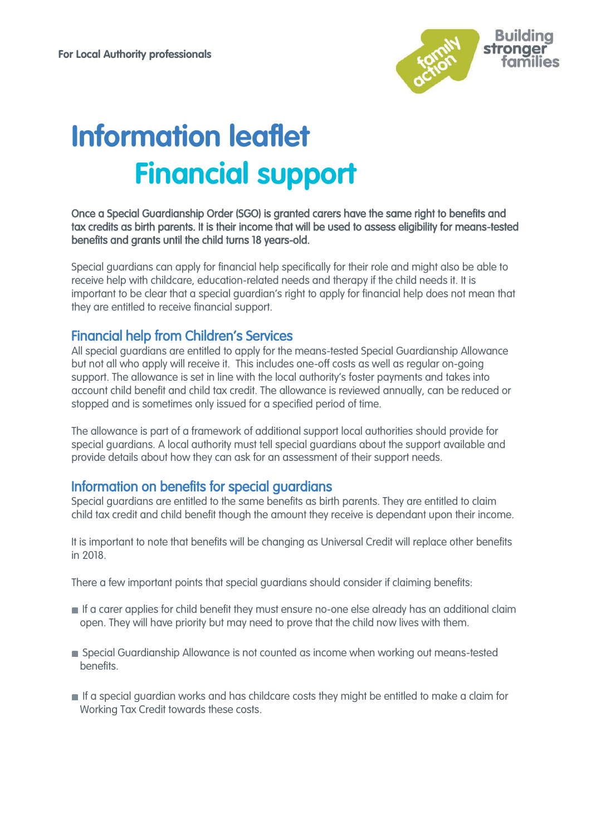

# **Information leaflet Financial support**

#### Once a Special Guardianship Order (SGO) is granted carers have the same right to benefits and tax credits as birth parents. It is their income that will be used to assess eligibility for means-tested benefits and grants until the child turns 18 years-old.

Special guardians can apply for financial help specifically for their role and might also be able to receive help with childcare, education-related needs and therapy if the child needs it. It is important to be clear that a special guardian's right to apply for financial help does not mean that they are entitled to receive financial support.

## Financial help from Children's Services

All special guardians are entitled to apply for the means-tested Special Guardianship Allowance but not all who apply will receive it. This includes one-off costs as well as regular on-going support. The allowance is set in line with the local authority's foster payments and takes into account child benefit and child tax credit. The allowance is reviewed annually, can be reduced or stopped and is sometimes only issued for a specified period of time.

The allowance is part of a framework of additional support local authorities should provide for special guardians. A local authority must tell special guardians about the support available and provide details about how they can ask for an assessment of their support needs.

## Information on benefits for special guardians

Special guardians are entitled to the same benefits as birth parents. They are entitled to claim child tax credit and child benefit though the amount they receive is dependant upon their income.

It is important to note that benefits will be changing as Universal Credit will replace other benefits in 2018.

There a few important points that special guardians should consider if claiming benefits:

- If a carer applies for child benefit they must ensure no-one else already has an additional claim open. They will have priority but may need to prove that the child now lives with them.
- Special Guardianship Allowance is not counted as income when working out means-tested benefits.
- If a special guardian works and has childcare costs they might be entitled to make a claim for Working Tax Credit towards these costs.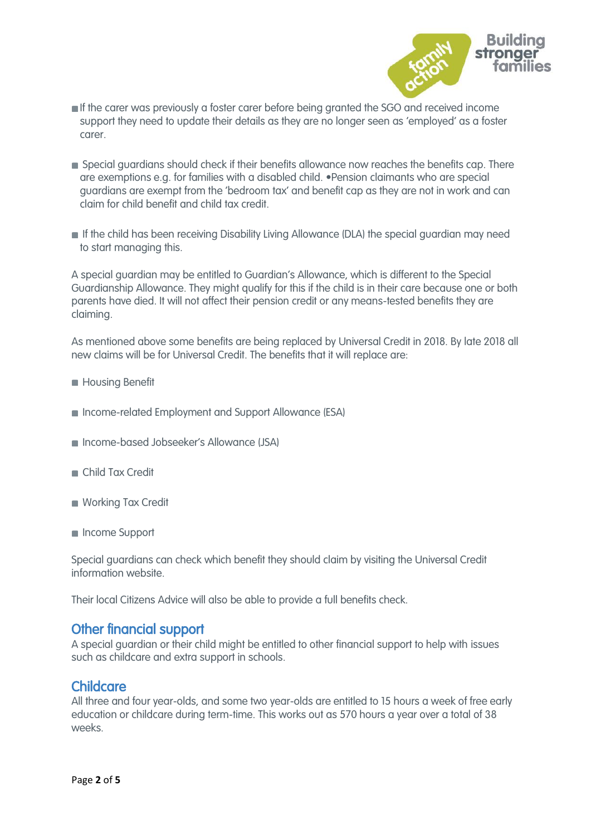

- If the carer was previously a foster carer before being granted the SGO and received income support they need to update their details as they are no longer seen as 'employed' as a foster carer.
- **Special guardians should check if their benefits allowance now reaches the benefits cap. There** are exemptions e.g. for families with a disabled child. •Pension claimants who are special guardians are exempt from the 'bedroom tax' and benefit cap as they are not in work and can claim for child benefit and child tax credit.
- If the child has been receiving Disability Living Allowance (DLA) the special guardian may need to start managing this.

A special guardian may be entitled to Guardian's Allowance, which is different to the Special Guardianship Allowance. They might qualify for this if the child is in their care because one or both parents have died. It will not affect their pension credit or any means-tested benefits they are claiming.

As mentioned above some benefits are being replaced by Universal Credit in 2018. By late 2018 all new claims will be for Universal Credit. The benefits that it will replace are:

- **Housing Benefit**
- Income-related Employment and Support Allowance (ESA)
- Income-based Jobseeker's Allowance (JSA)
- Child Tax Credit
- Working Tax Credit
- **Income Support**

Special guardians can check which benefit they should claim by visiting the Universal Credit information website.

Their local Citizens Advice will also be able to provide a full benefits check.

### Other financial support

A special guardian or their child might be entitled to other financial support to help with issues such as childcare and extra support in schools.

## **Childcare**

All three and four year-olds, and some two year-olds are entitled to 15 hours a week of free early education or childcare during term-time. This works out as 570 hours a year over a total of 38 weeks.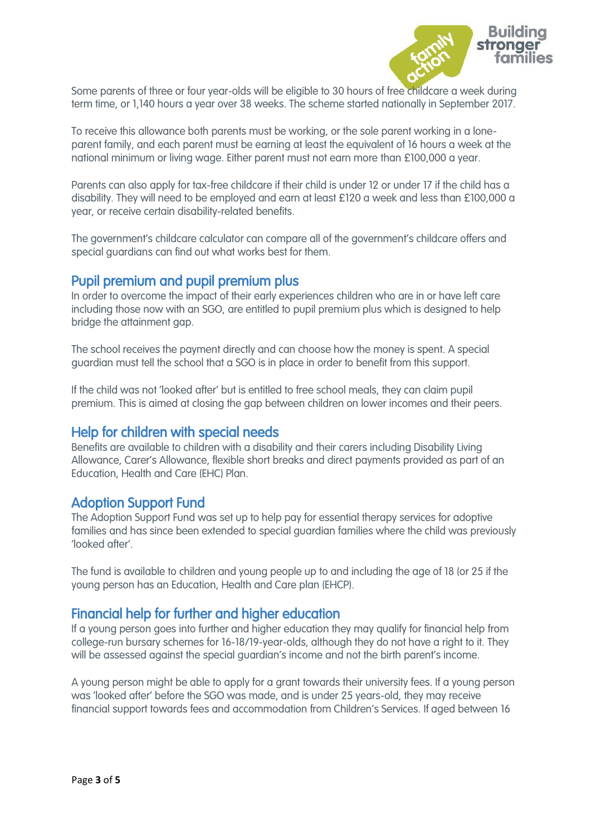

Some parents of three or four year-olds will be eligible to 30 hours of free childcare a week during term time, or 1,140 hours a year over 38 weeks. The scheme started nationally in September 2017.

To receive this allowance both parents must be working, or the sole parent working in a loneparent family, and each parent must be earning at least the equivalent of 16 hours a week at the national minimum or living wage. Either parent must not earn more than £100,000 a year.

Parents can also apply for tax-free childcare if their child is under 12 or under 17 if the child has a disability. They will need to be employed and earn at least £120 a week and less than £100,000 a year, or receive certain disability-related benefits.

The government's childcare calculator can compare all of the government's childcare offers and special guardians can find out what works best for them.

## Pupil premium and pupil premium plus

In order to overcome the impact of their early experiences children who are in or have left care including those now with an SGO, are entitled to pupil premium plus which is designed to help bridge the attainment gap.

The school receives the payment directly and can choose how the money is spent. A special guardian must tell the school that a SGO is in place in order to benefit from this support.

If the child was not 'looked after' but is entitled to free school meals, they can claim pupil premium. This is aimed at closing the gap between children on lower incomes and their peers.

## Help for children with special needs

Benefits are available to children with a disability and their carers including Disability Living Allowance, Carer's Allowance, flexible short breaks and direct payments provided as part of an Education, Health and Care (EHC) Plan.

#### Adoption Support Fund

The Adoption Support Fund was set up to help pay for essential therapy services for adoptive families and has since been extended to special guardian families where the child was previously 'looked after'.

The fund is available to children and young people up to and including the age of 18 (or 25 if the young person has an Education, Health and Care plan (EHCP).

## Financial help for further and higher education

If a young person goes into further and higher education they may qualify for financial help from college-run bursary schemes for 16-18/19-year-olds, although they do not have a right to it. They will be assessed against the special guardian's income and not the birth parent's income.

A young person might be able to apply for a grant towards their university fees. If a young person was 'looked after' before the SGO was made, and is under 25 years-old, they may receive financial support towards fees and accommodation from Children's Services. If aged between 16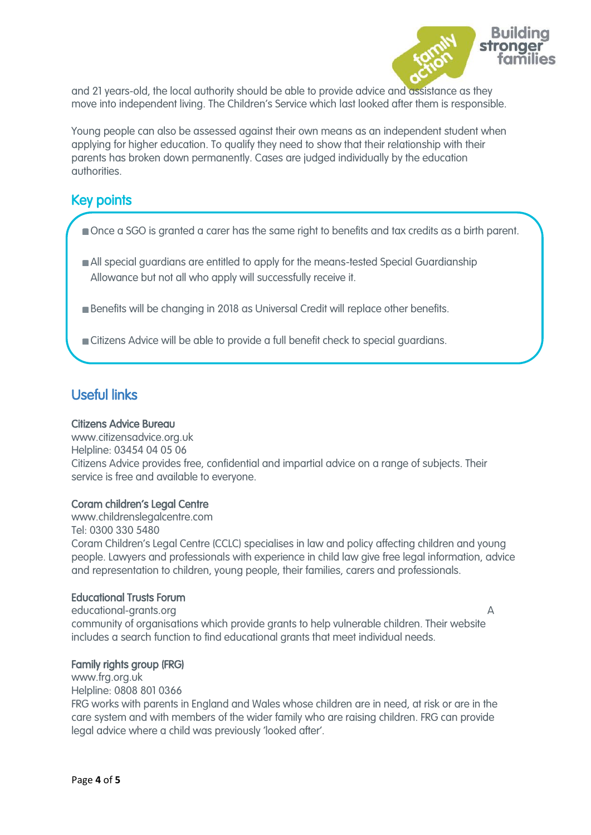

and 21 years-old, the local authority should be able to provide advice and assistance as they move into independent living. The Children's Service which last looked after them is responsible.

Young people can also be assessed against their own means as an independent student when applying for higher education. To qualify they need to show that their relationship with their parents has broken down permanently. Cases are judged individually by the education authorities.

## Key points

Once a SGO is granted a carer has the same right to benefits and tax credits as a birth parent.

- All special guardians are entitled to apply for the means-tested Special Guardianship Allowance but not all who apply will successfully receive it.
- Benefits will be changing in 2018 as Universal Credit will replace other benefits.
- Citizens Advice will be able to provide a full benefit check to special guardians.

# Useful links

#### Citizens Advice Bureau

www.citizensadvice.org.uk Helpline: 03454 04 05 06 Citizens Advice provides free, confidential and impartial advice on a range of subjects. Their service is free and available to everyone.

#### Coram children's Legal Centre

www.childrenslegalcentre.com Tel: 0300 330 5480 Coram Children's Legal Centre (CCLC) specialises in law and policy affecting children and young people. Lawyers and professionals with experience in child law give free legal information, advice and representation to children, young people, their families, carers and professionals.

#### Educational Trusts Forum

educational-grants.org A community of organisations which provide grants to help vulnerable children. Their website includes a search function to find educational grants that meet individual needs.

#### Family rights group (FRG)

www.frg.org.uk Helpline: 0808 801 0366 FRG works with parents in England and Wales whose children are in need, at risk or are in the care system and with members of the wider family who are raising children. FRG can provide legal advice where a child was previously 'looked after'.